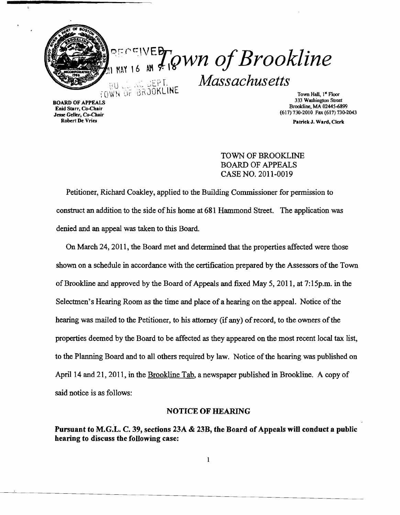

 $\Delta$ 

 $q_{\text{NNN,16}}^{\text{SECCIVE}}$  of Brookline ;(U , ..,. ~tYL *Massachusetts*  TOWN UF BRJOKLINE TOWN Town Hall, 1" Floor Town Hall, 1" Floor Town Hall, 1" Floor

Entu Stati, Co-Chair<br>
Jesse Geller, Co-Chair<br>
Robert De Vries<br>
Patrick J. Ward Clerk

333 Washington Street BOARD OF APPEALS Brookline, MA 02445-6899 Enid Starr, Co-Chair

Patrick J. Ward, Clerk

TOWN OF BROOKLINE BOARD OF APPEALS CASE NO. 2011-0019

Petitioner, Richard Coakley, applied to the Building Commissioner for permission to construct an addition to the side of his home at 681 Hammond Street. The application was denied and an appeal was taken to this Board.

On March 24,2011, the Board met and determined that the properties affected were those shown on a schedule in accordance with the certification prepared by the Assessors of the Town of Brookline and approved by the Board of Appeals and fixed May 5, 2011, at 7:15p.m. in the Selectmen's Hearing Room as the time and place of a hearing on the appeal. Notice of the hearing was mailed to the Petitioner, to his attorney (if any) of record, to the owners of the properties deemed by the Board to be affected as they appeared on the most recent local tax list, to the Planning Board and to all others required by law. Notice of the hearing was published on April 14 and 21, 2011, in the Brookline Tab, a newspaper published in Brookline. A copy of said notice is as follows:

#### NOTICE OF HEARING

Pursuant to M.G.L. C. 39, sections 23A & 23B, the Board of Appeals will conduct a public hearing to discuss the following case: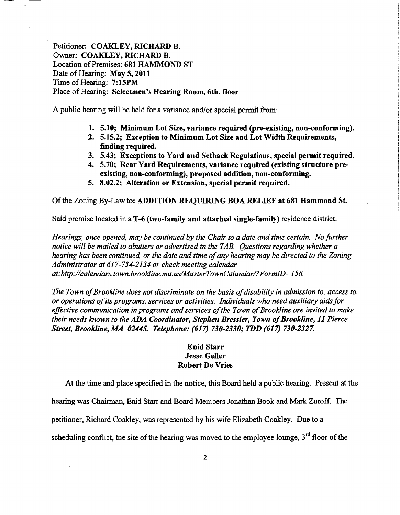Petitioner: COAKLEY, RICHARD B. Owner: COAKLEY, RICHARD B. Location of Premises: 681 HAMMOND ST Date of Hearing: May 5, 2011 Time of Hearing: 7:15PM Place of Hearing: Selectmen's Hearing Room, 6th. floor

A public hearing will be held for a variance and/or special permit from:

- 1. 5.10; Minimum Lot Size, variance required (pre-existing, non-conforming).
- 2. 5.15.2; Exception to Minimum Lot Size and Lot Width Requirements, finding required.
- 3. 5.43; Exceptions to Yard and Setback Regulations, special permit required.
- 4. 5.70; Rear Yard Requirements, variance required (existing structure preexisting, non-conforming), proposed addition, non-conforming.
- 5. 8.02.2; Alteration or Extension, special permit required.

Of the Zoning By-Law to: ADDITION REQUIRING BOA RELIEF at 681 Hammond St.

Said premise located in a T-6 (two-family and attached single-family) residence district.

*Hearings, once opened, may be continued by the Chair to a date and time certain. No further notice will be mailed to abutters or advertised in the TAB. Questions regarding whether a hearing has been continued, or the date and time ofany hearing may be directed to the Zoning Administrator at* 617-734-2134 *or check meeting calendar at:http://calendars.town.brookline.ma.us/MasterTownCalandar/?FormID=158.* 

*The Town of Brookline does not discriminate on the basis of disability in admission to, access to, or operations ofits programs, services or activities. Individuals who need auxiliary aids for*  effective communication in programs and services of the Town of Brookline are invited to make *their needs known to the ADA Coordinator, Stephen Bressler, Town of Brookline, 11 Pierce Street, Brookline, MA 02445. Telephone:* (617) *730-2330; TDD* (617) *730-2327.* 

# Enid Starr Jesse Geller Robert De Vries

At the time and place specified in the notice, this Board held a public hearing. Present at the

hearing was Chainnan, Enid Starr and Board Members Jonathan Book and Mark Zuroff. The

petitioner, Richard Coakley, was represented by his wife Elizabeth Coakley. Due to a

scheduling conflict, the site of the hearing was moved to the employee lounge, 3<sup>rd</sup> floor of the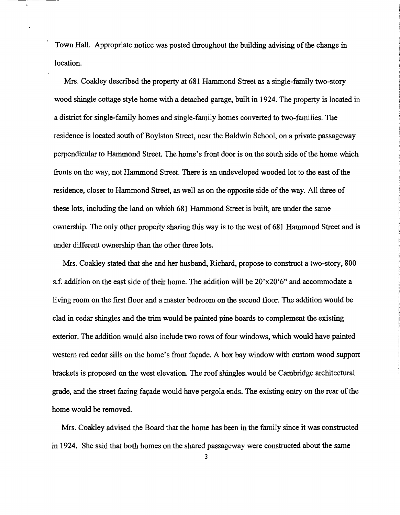Town Hall. Appropriate notice was posted throughout the building advising of the change in location.

Mrs. Coakley described the property at 681 Hammond Street as a single-family two-story wood shingle cottage style home with a detached garage, built in 1924. The property is located in a district for single-family homes and single-family homes converted to two-families. The residence is located south of Boylston Street, near the Baldwin School, on a private passageway perpendicular to Hammond Street. The home's front door is on the south side of the home which fronts on the way, not Hammond Street. There is an undeveloped wooded lot to the east of the residence, closer to Hammond Street, as well as on the opposite side of the way. All three of these lots, including the land on which 681 Hammond Street is built, are under the same ownership. The only other property sharing this way is to the west of 681 Hammond Street and is under different ownership than the other three lots.

Mrs. Coakley stated that she and her husband, Richard, propose to construct a two-story, 800 s.f. addition on the east side of their home. The addition will be  $20'x20'6"$  and accommodate a living room on the first floor and a master bedroom on the second floor. The addition would be clad in cedar shingles and the trim would be painted pine boards to complement the existing exterior. The addition would also include two rows of four windows, which would have painted western red cedar sills on the home's front façade. A box bay window with custom wood support brackets is proposed on the west elevation. The roofshingles would be Cambridge architectural grade, and the street facing façade would have pergola ends. The existing entry on the rear of the home would be removed.

Mrs. Coakley advised the Board that the home has been in the family since it was constructed in 1924. She said that both homes on the shared passageway were constructed about the same

3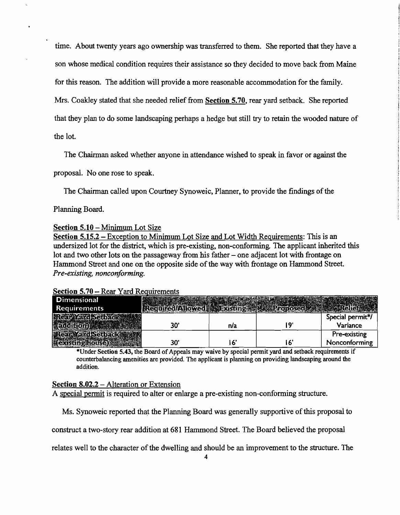time. About twenty years ago ownership was transferred to them. She reported that they have a son whose medical condition requires their assistance so they decided to move back from Maine for this reason. The addition will provide a more reasonable accommodation for the family. Mrs. Coakley stated that she needed relief from Section 5.70, rear yard setback. She reported that they plan to do some landscaping perhaps a hedge but still try to retain the wooded nature of the lot.

The Chairman asked whether anyone in attendance wished to speak in favor or against the

proposal. No one rose to speak.

The Chairman called upon Courtney Synoweic, Planner, to provide the findings of the

Planning Board.

## Section 5.10 - Minimum Lot Size

Section  $5.15.2$  – Exception to Minimum Lot Size and Lot Width Requirements: This is an undersized lot for the district, which is pre-existing, non-conforming. The applicant inherited this lot and two other lots on the passageway from his father – one adjacent lot with frontage on Hammond Street and one on the opposite side of the way with frontage on Hammond Street. *Pre-existing, nonconforming.* 

#### **Section 5.70 – Rear Yard Requirements**

| <b>Dimensional</b>     |     |     |    |                  |
|------------------------|-----|-----|----|------------------|
| <b>Requirements</b>    |     |     |    |                  |
| Rear Yard Setba        |     |     |    | Special permit*/ |
|                        | 30' | n/a | ۱٥ | Variance         |
|                        |     |     |    | Pre-existing     |
| <b>EXPLAIN SUBJECT</b> | 30' |     |    | Nonconforming    |

\*Under Section 5.43, the Board of Appeals may waive by special permit yard and setback requirements if counterbalancing amenities are provided. The applicant is planning on providing landscaping around the addition.

## Section 8.02.2 – Alteration or Extension

A special permit is required to alter or enlarge a pre-existing non-conforming structure.

Ms. Synoweic reported that the Planning Board was generally supportive ofthis proposal to

construct a two-story rear addition at 681 Hammond Street. The Board believed the proposal

relates well to the character of the dwelling and should be an improvement to the structure. The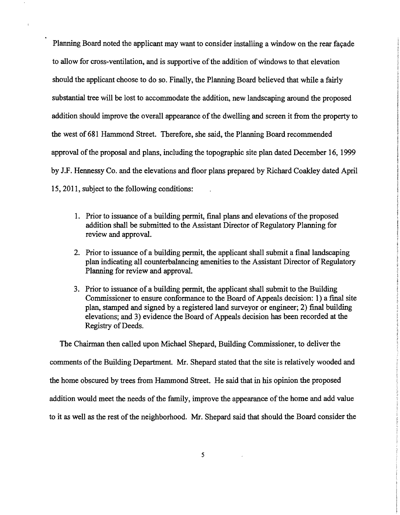Planning Board noted the applicant may want to consider installing a window on the rear facade to allow for cross-ventilation, and is supportive of the addition of windows to that elevation should the applicant choose to do so. Finally, the Planning Board believed that while a fairly substantial tree will be lost to accommodate the addition, new landscaping around the proposed addition should improve the overall appearance of the dwelling and screen it from the property to the west of 681 Hammond Street. Therefore, she said, the Planning Board recommended approval of the proposal and plans, including the topographic site plan dated December 16, 1999 by J.F. Hennessy Co. and the elevations and floor plans prepared by Richard Coakley dated April 15,2011, subject to the following conditions:

- 1. Prior to issuance of a building permit, final plans and elevations of the proposed addition shall be submitted to the Assistant Director of Regulatory Planning for review and approval.
- 2. Prior to issuance of a building permit, the applicant shall submit a final landscaping plan indicating all counterbalancing amenities to the Assistant Director of Regulatory Planning for review and approval.
- 3. Prior to issuance of a building permit, the applicant shall submit to the Building Commissioner to ensure conformance to the Board of Appeals decision: 1) a final site plan, stamped and signed by a registered land surveyor or engineer; 2) final building elevations; and 3) evidence the Board of Appeals decision has been recorded at the Registry of Deeds.

The Chairman then called upon Michael Shepard, Building Commissioner, to deliver the comments of the Building Department. Mr. Shepard stated that the site is relatively wooded and the home obscured by trees from Hammond Street. He said that in his opinion the proposed addition would meet the needs of the family, improve the appearance of the home and add value to it as well as the rest of the neighborhood. Mr. Shepard said that should the Board consider the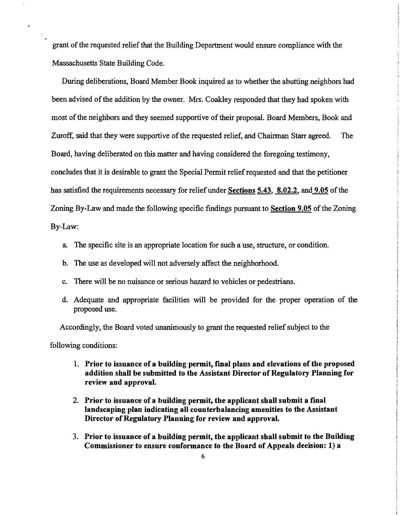grant of the requested relief that the Building Department would ensure compliance with the Massachusetts State Building Code.

During deliberations, Board Member Book inquired as to whether the abutting neighbors had been advised of the addition by the owner. Mrs. Coakley responded that they had spoken with most of the neighbors and they seemed supportive of their proposal. Board Members, Book and Zuroff, said that they were supportive of the requested relief, and Chairman Starr agreed. The Board, having deliberated on this matter and having considered the foregoing testimony, concludes that it is desirable to grant the Special Permit relief requested and that the petitioner has satisfied the requirements necessary for relief under Sections 5.43, 8.02.2, and 9.05 of the Zoning By-Law and made the following specific findings pursuant to Section 9.05 of the Zoning By-Law:

a. The specific site is an appropriate location for such a use, structure, or condition.

- b. The use as developed will not adversely affect the neighborhood.
- c. There will be no nuisance or serious hazard to vehicles or pedestrians.
- d. Adequate and appropriate facilities will be provided for the proper operation of the proposed use.

Accordingly, the Board voted unanimously to grant the requested relief subject to the

following conditions:

- 1. Prior to issuance of a building permit, final plans and elevations of the proposed addition shall be submitted to the Assistant Director of Regulatory Planning for review and approval.
- 2. Prior to issuance of a building permit, the applicant shall submit a final landscaping plan indicating all counterbalancing amenities to the Assistant Director of Regulatory Planning for review and approval.
- 3. Prior to issuance of a building permit, the applicant shall submit to the Building Commissioner to ensure conformance to the Board of Appeals decision: 1) a